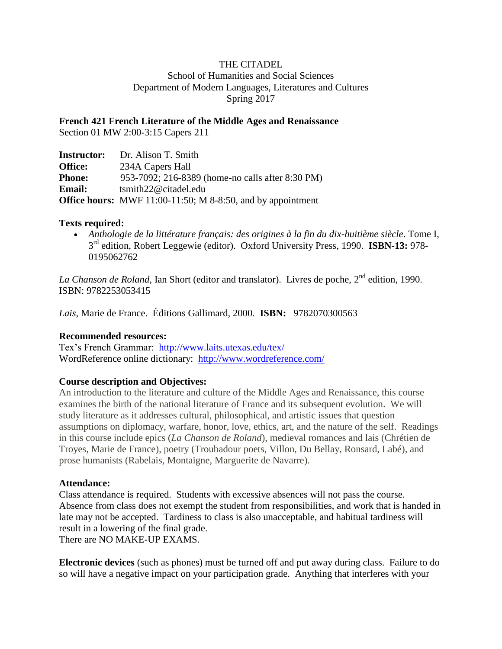# THE CITADEL

School of Humanities and Social Sciences Department of Modern Languages, Literatures and Cultures Spring 2017

**French 421 French Literature of the Middle Ages and Renaissance**

Section 01 MW 2:00-3:15 Capers 211

| <b>Instructor:</b> | Dr. Alison T. Smith                                                |
|--------------------|--------------------------------------------------------------------|
| <b>Office:</b>     | 234A Capers Hall                                                   |
| <b>Phone:</b>      | 953-7092; 216-8389 (home-no calls after 8:30 PM)                   |
| <b>Email:</b>      | tsmith22@citadel.edu                                               |
|                    | <b>Office hours:</b> MWF 11:00-11:50; M 8-8:50, and by appointment |

## **Texts required:**

 *Anthologie de la littérature français: des origines à la fin du dix-huitième siècle*. Tome I, 3 rd edition, Robert Leggewie (editor). Oxford University Press, 1990. **ISBN-13:** 978- 0195062762

*La Chanson de Roland*, Ian Short (editor and translator). Livres de poche, 2<sup>nd</sup> edition, 1990. ISBN: 9782253053415

*Lais*, Marie de France. Éditions Gallimard, 2000. **ISBN:** 9782070300563

# **Recommended resources:**

Tex's French Grammar: <http://www.laits.utexas.edu/tex/> WordReference online dictionary: <http://www.wordreference.com/>

# **Course description and Objectives:**

An introduction to the literature and culture of the Middle Ages and Renaissance, this course examines the birth of the national literature of France and its subsequent evolution. We will study literature as it addresses cultural, philosophical, and artistic issues that question assumptions on diplomacy, warfare, honor, love, ethics, art, and the nature of the self. Readings in this course include epics (*La Chanson de Roland*), medieval romances and lais (Chrétien de Troyes, Marie de France), poetry (Troubadour poets, Villon, Du Bellay, Ronsard, Labé), and prose humanists (Rabelais, Montaigne, Marguerite de Navarre).

#### **Attendance:**

Class attendance is required. Students with excessive absences will not pass the course. Absence from class does not exempt the student from responsibilities, and work that is handed in late may not be accepted. Tardiness to class is also unacceptable, and habitual tardiness will result in a lowering of the final grade. There are NO MAKE-UP EXAMS.

**Electronic devices** (such as phones) must be turned off and put away during class. Failure to do so will have a negative impact on your participation grade. Anything that interferes with your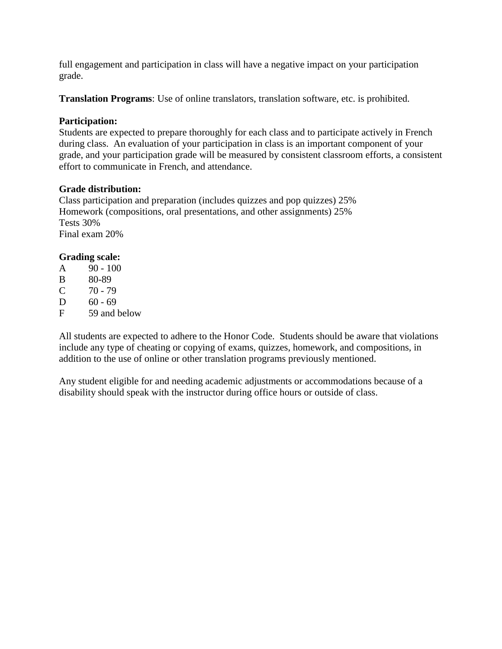full engagement and participation in class will have a negative impact on your participation grade.

**Translation Programs**: Use of online translators, translation software, etc. is prohibited.

## **Participation:**

Students are expected to prepare thoroughly for each class and to participate actively in French during class. An evaluation of your participation in class is an important component of your grade, and your participation grade will be measured by consistent classroom efforts, a consistent effort to communicate in French, and attendance.

#### **Grade distribution:**

Class participation and preparation (includes quizzes and pop quizzes) 25% Homework (compositions, oral presentations, and other assignments) 25% Tests 30% Final exam 20%

## **Grading scale:**

| A | $90 - 100$ |  |
|---|------------|--|
|   |            |  |

- B 80-89
- $C = 70 79$
- $D = 60 69$
- F 59 and below

All students are expected to adhere to the Honor Code. Students should be aware that violations include any type of cheating or copying of exams, quizzes, homework, and compositions, in addition to the use of online or other translation programs previously mentioned.

Any student eligible for and needing academic adjustments or accommodations because of a disability should speak with the instructor during office hours or outside of class.